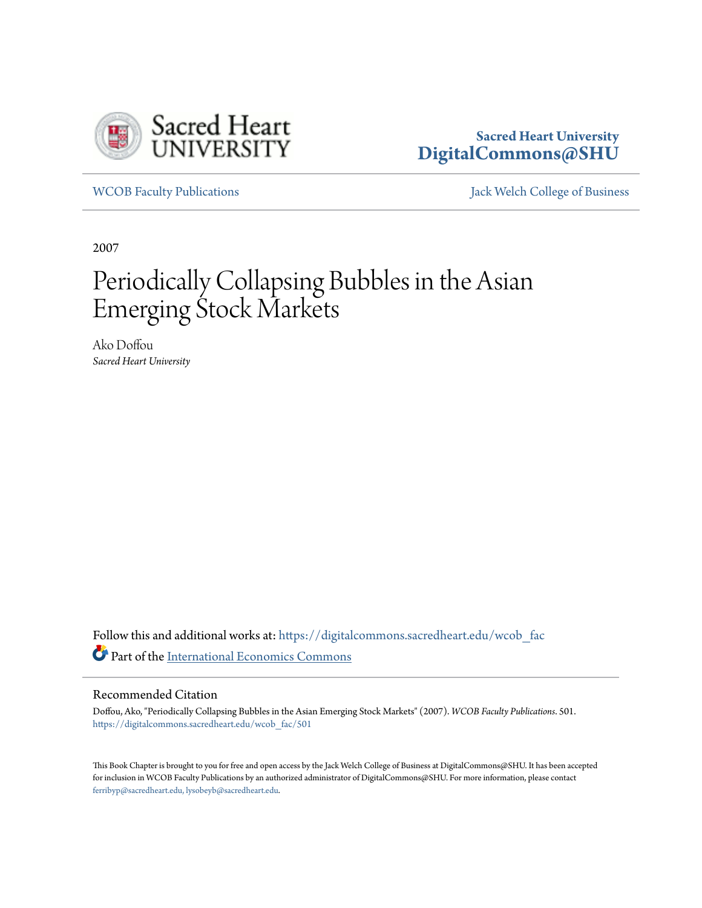

# **Sacred Heart University [DigitalCommons@SHU](https://digitalcommons.sacredheart.edu?utm_source=digitalcommons.sacredheart.edu%2Fwcob_fac%2F501&utm_medium=PDF&utm_campaign=PDFCoverPages)**

[WCOB Faculty Publications](https://digitalcommons.sacredheart.edu/wcob_fac?utm_source=digitalcommons.sacredheart.edu%2Fwcob_fac%2F501&utm_medium=PDF&utm_campaign=PDFCoverPages) [Jack Welch College of Business](https://digitalcommons.sacredheart.edu/wcob?utm_source=digitalcommons.sacredheart.edu%2Fwcob_fac%2F501&utm_medium=PDF&utm_campaign=PDFCoverPages)

2007

# Periodically Collapsing Bubbles in the Asian Emerging Stock Markets

Ako Doffou *Sacred Heart University*

Follow this and additional works at: [https://digitalcommons.sacredheart.edu/wcob\\_fac](https://digitalcommons.sacredheart.edu/wcob_fac?utm_source=digitalcommons.sacredheart.edu%2Fwcob_fac%2F501&utm_medium=PDF&utm_campaign=PDFCoverPages) Part of the [International Economics Commons](http://network.bepress.com/hgg/discipline/348?utm_source=digitalcommons.sacredheart.edu%2Fwcob_fac%2F501&utm_medium=PDF&utm_campaign=PDFCoverPages)

#### Recommended Citation

Doffou, Ako, "Periodically Collapsing Bubbles in the Asian Emerging Stock Markets" (2007). *WCOB Faculty Publications*. 501. [https://digitalcommons.sacredheart.edu/wcob\\_fac/501](https://digitalcommons.sacredheart.edu/wcob_fac/501?utm_source=digitalcommons.sacredheart.edu%2Fwcob_fac%2F501&utm_medium=PDF&utm_campaign=PDFCoverPages)

This Book Chapter is brought to you for free and open access by the Jack Welch College of Business at DigitalCommons@SHU. It has been accepted for inclusion in WCOB Faculty Publications by an authorized administrator of DigitalCommons@SHU. For more information, please contact [ferribyp@sacredheart.edu, lysobeyb@sacredheart.edu.](mailto:ferribyp@sacredheart.edu,%20lysobeyb@sacredheart.edu)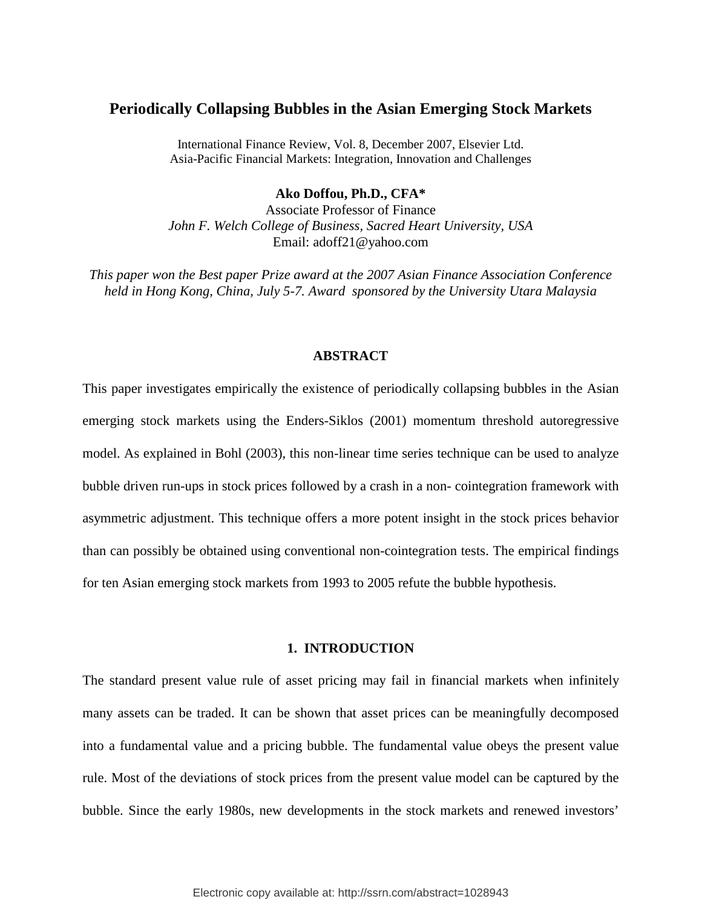## **Periodically Collapsing Bubbles in the Asian Emerging Stock Markets**

International Finance Review, Vol. 8, December 2007, Elsevier Ltd. Asia-Pacific Financial Markets: Integration, Innovation and Challenges

**Ako Doffou, Ph.D., CFA\***

Associate Professor of Finance *John F. Welch College of Business, Sacred Heart University, USA*  Email: adoff21@yahoo.com

*This paper won the Best paper Prize award at the 2007 Asian Finance Association Conference held in Hong Kong, China, July 5-7. Award sponsored by the University Utara Malaysia* 

#### **ABSTRACT**

This paper investigates empirically the existence of periodically collapsing bubbles in the Asian emerging stock markets using the Enders-Siklos (2001) momentum threshold autoregressive model. As explained in Bohl (2003), this non-linear time series technique can be used to analyze bubble driven run-ups in stock prices followed by a crash in a non- cointegration framework with asymmetric adjustment. This technique offers a more potent insight in the stock prices behavior than can possibly be obtained using conventional non-cointegration tests. The empirical findings for ten Asian emerging stock markets from 1993 to 2005 refute the bubble hypothesis.

#### **1. INTRODUCTION**

The standard present value rule of asset pricing may fail in financial markets when infinitely many assets can be traded. It can be shown that asset prices can be meaningfully decomposed into a fundamental value and a pricing bubble. The fundamental value obeys the present value rule. Most of the deviations of stock prices from the present value model can be captured by the bubble. Since the early 1980s, new developments in the stock markets and renewed investors'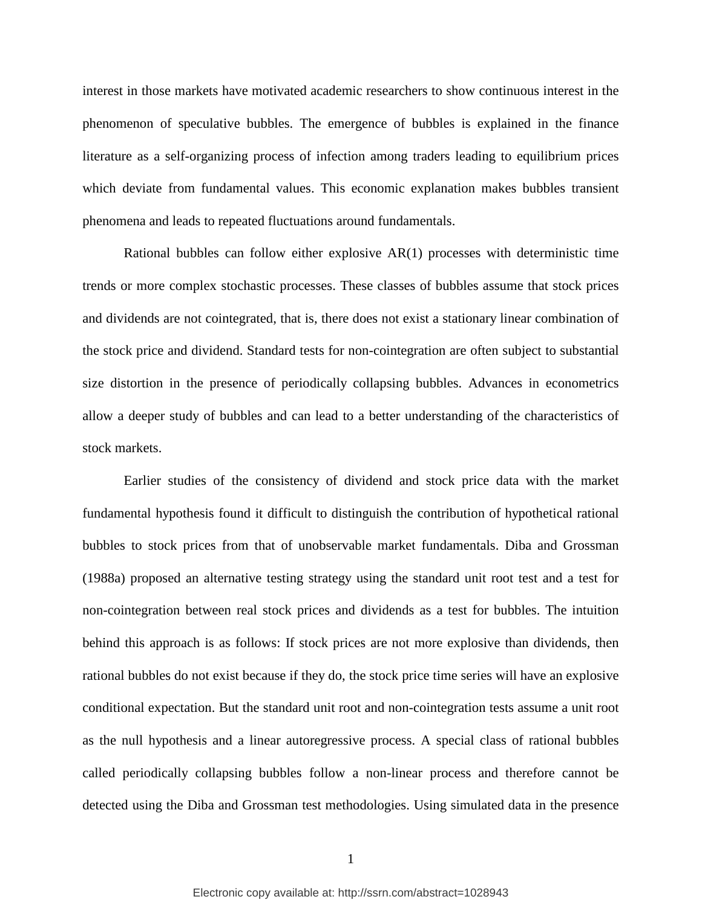interest in those markets have motivated academic researchers to show continuous interest in the phenomenon of speculative bubbles. The emergence of bubbles is explained in the finance literature as a self-organizing process of infection among traders leading to equilibrium prices which deviate from fundamental values. This economic explanation makes bubbles transient phenomena and leads to repeated fluctuations around fundamentals.

Rational bubbles can follow either explosive AR(1) processes with deterministic time trends or more complex stochastic processes. These classes of bubbles assume that stock prices and dividends are not cointegrated, that is, there does not exist a stationary linear combination of the stock price and dividend. Standard tests for non-cointegration are often subject to substantial size distortion in the presence of periodically collapsing bubbles. Advances in econometrics allow a deeper study of bubbles and can lead to a better understanding of the characteristics of stock markets.

Earlier studies of the consistency of dividend and stock price data with the market fundamental hypothesis found it difficult to distinguish the contribution of hypothetical rational bubbles to stock prices from that of unobservable market fundamentals. Diba and Grossman (1988a) proposed an alternative testing strategy using the standard unit root test and a test for non-cointegration between real stock prices and dividends as a test for bubbles. The intuition behind this approach is as follows: If stock prices are not more explosive than dividends, then rational bubbles do not exist because if they do, the stock price time series will have an explosive conditional expectation. But the standard unit root and non-cointegration tests assume a unit root as the null hypothesis and a linear autoregressive process. A special class of rational bubbles called periodically collapsing bubbles follow a non-linear process and therefore cannot be detected using the Diba and Grossman test methodologies. Using simulated data in the presence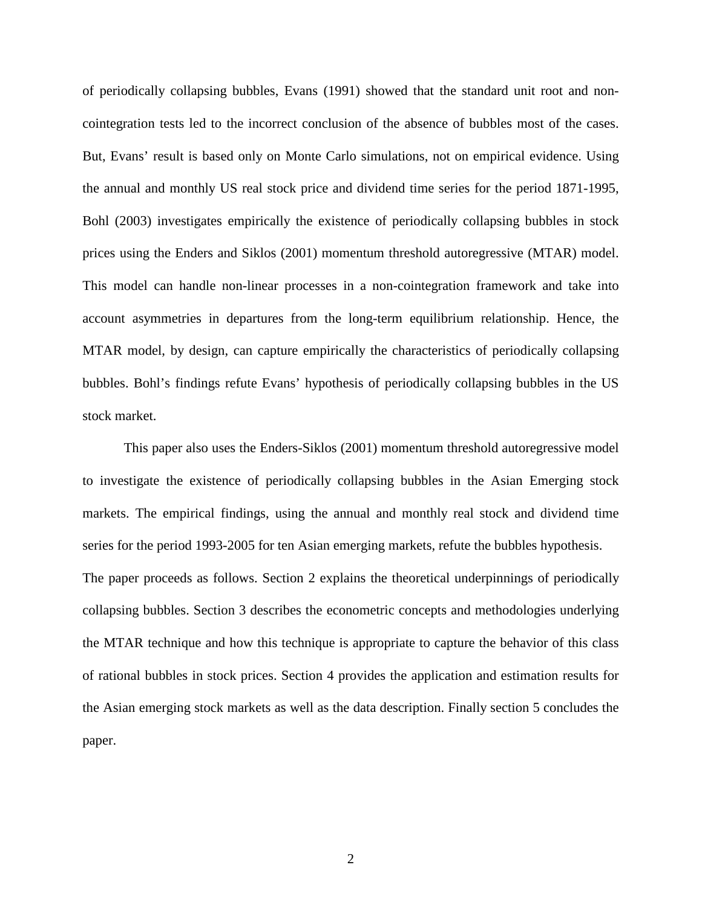of periodically collapsing bubbles, Evans (1991) showed that the standard unit root and noncointegration tests led to the incorrect conclusion of the absence of bubbles most of the cases. But, Evans' result is based only on Monte Carlo simulations, not on empirical evidence. Using the annual and monthly US real stock price and dividend time series for the period 1871-1995, Bohl (2003) investigates empirically the existence of periodically collapsing bubbles in stock prices using the Enders and Siklos (2001) momentum threshold autoregressive (MTAR) model. This model can handle non-linear processes in a non-cointegration framework and take into account asymmetries in departures from the long-term equilibrium relationship. Hence, the MTAR model, by design, can capture empirically the characteristics of periodically collapsing bubbles. Bohl's findings refute Evans' hypothesis of periodically collapsing bubbles in the US stock market.

This paper also uses the Enders-Siklos (2001) momentum threshold autoregressive model to investigate the existence of periodically collapsing bubbles in the Asian Emerging stock markets. The empirical findings, using the annual and monthly real stock and dividend time series for the period 1993-2005 for ten Asian emerging markets, refute the bubbles hypothesis. The paper proceeds as follows. Section 2 explains the theoretical underpinnings of periodically collapsing bubbles. Section 3 describes the econometric concepts and methodologies underlying the MTAR technique and how this technique is appropriate to capture the behavior of this class of rational bubbles in stock prices. Section 4 provides the application and estimation results for the Asian emerging stock markets as well as the data description. Finally section 5 concludes the paper.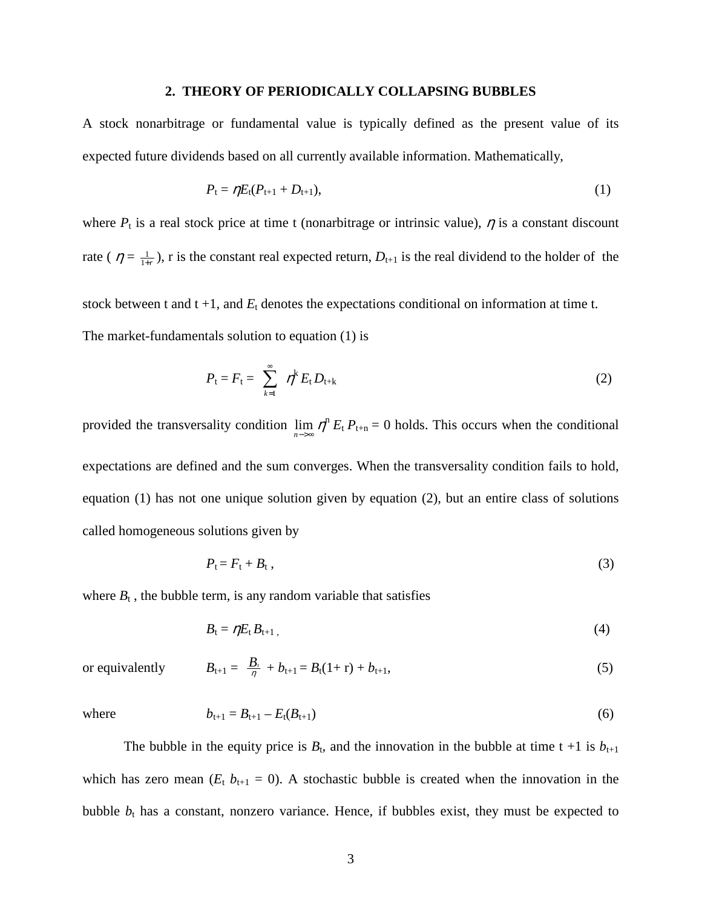#### **2. THEORY OF PERIODICALLY COLLAPSING BUBBLES**

A stock nonarbitrage or fundamental value is typically defined as the present value of its expected future dividends based on all currently available information. Mathematically,

$$
P_{t} = \eta E_{t}(P_{t+1} + D_{t+1}), \qquad (1)
$$

where  $P_t$  is a real stock price at time t (nonarbitrage or intrinsic value),  $\eta$  is a constant discount rate (  $\eta = \frac{1}{1+r}$ ), r is the constant real expected return,  $D_{t+1}$  is the real dividend to the holder of the

stock between t and  $t + 1$ , and  $E_t$  denotes the expectations conditional on information at time t. The market-fundamentals solution to equation (1) is

$$
P_{t}=F_{t}=\sum_{k=1}^{\infty}\eta^{k}E_{t}D_{t+k}
$$
\n(2)

provided the transversality condition  $\lim_{n\to\infty} \eta^n E_t P_{t+n} = 0$  holds. This occurs when the conditional expectations are defined and the sum converges. When the transversality condition fails to hold, equation (1) has not one unique solution given by equation (2), but an entire class of solutions called homogeneous solutions given by

$$
P_t = F_t + B_t \,, \tag{3}
$$

where  $B_t$ , the bubble term, is any random variable that satisfies

$$
B_t = \eta E_t B_{t+1},\tag{4}
$$

or equivalently 
$$
B_{t+1} = \frac{B_t}{\eta} + b_{t+1} = B_t(1+r) + b_{t+1},
$$
 (5)

where 
$$
b_{t+1} = B_{t+1} - E_t(B_{t+1})
$$
 (6)

The bubble in the equity price is  $B_t$ , and the innovation in the bubble at time  $t + 1$  is  $b_{t+1}$ which has zero mean  $(E_t b_{t+1} = 0)$ . A stochastic bubble is created when the innovation in the bubble  $b_t$  has a constant, nonzero variance. Hence, if bubbles exist, they must be expected to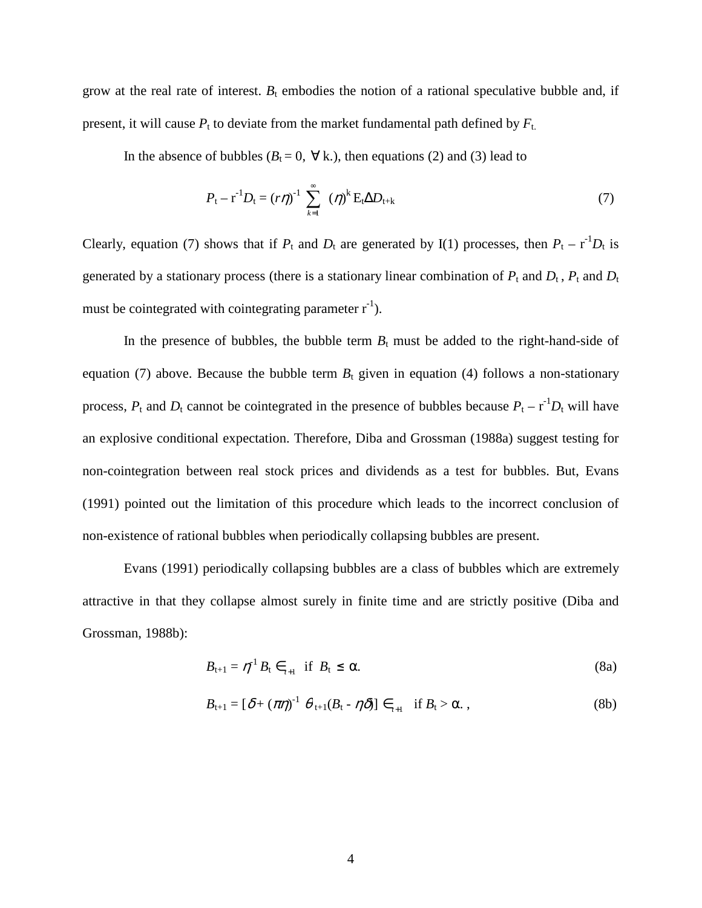grow at the real rate of interest.  $B_t$  embodies the notion of a rational speculative bubble and, if present, it will cause  $P_t$  to deviate from the market fundamental path defined by  $F_t$ .

In the absence of bubbles ( $B_t = 0$ ,  $\forall$  k.), then equations (2) and (3) lead to

$$
P_{t} - r^{-1}D_{t} = (r\eta)^{-1} \sum_{k=1}^{\infty} (\eta)^{k} E_{t} \Delta D_{t+k}
$$
 (7)

Clearly, equation (7) shows that if  $P_t$  and  $D_t$  are generated by I(1) processes, then  $P_t - r^{-1}D_t$  is generated by a stationary process (there is a stationary linear combination of  $P_t$  and  $D_t$ ,  $P_t$  and  $D_t$ must be cointegrated with cointegrating parameter  $r^{-1}$ ).

In the presence of bubbles, the bubble term  $B_t$  must be added to the right-hand-side of equation (7) above. Because the bubble term  $B_t$  given in equation (4) follows a non-stationary process,  $P_t$  and  $D_t$  cannot be cointegrated in the presence of bubbles because  $P_t - r^{-1}D_t$  will have an explosive conditional expectation. Therefore, Diba and Grossman (1988a) suggest testing for non-cointegration between real stock prices and dividends as a test for bubbles. But, Evans (1991) pointed out the limitation of this procedure which leads to the incorrect conclusion of non-existence of rational bubbles when periodically collapsing bubbles are present.

Evans (1991) periodically collapsing bubbles are a class of bubbles which are extremely attractive in that they collapse almost surely in finite time and are strictly positive (Diba and Grossman, 1988b):

$$
B_{t+1} = \eta^{-1} B_t \in H_{t+1} \quad \text{if} \quad B_t \le \alpha. \tag{8a}
$$

$$
B_{t+1} = [\delta + (\pi \eta)^{-1} \theta_{t+1} (B_t - \eta \delta)] \in H_{t+1} \text{ if } B_t > \alpha. ,
$$
 (8b)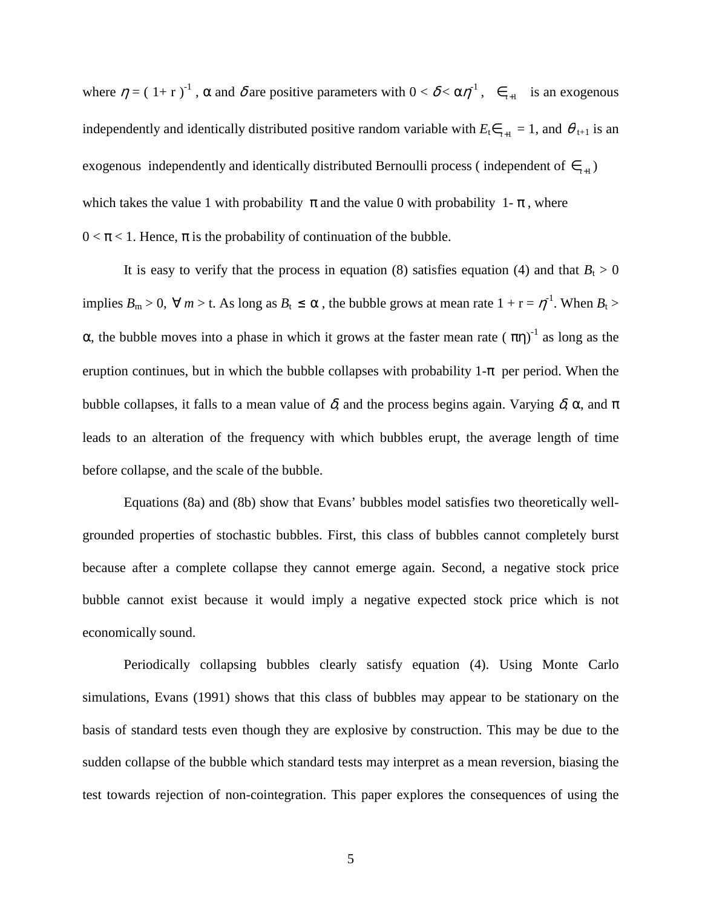where  $\eta = (1+r)^{-1}$ ,  $\alpha$  and  $\delta$  are positive parameters with  $0 < \delta < \alpha \eta^{-1}$ ,  $\epsilon_{t+1}$  is an exogenous independently and identically distributed positive random variable with  $E_t \epsilon_{t+1} = 1$ , and  $\theta_{t+1}$  is an exogenous independently and identically distributed Bernoulli process (independent of  $\epsilon_{t+1}$ ) which takes the value 1 with probability  $\pi$  and the value 0 with probability 1- $\pi$ , where  $0 < \pi < 1$ . Hence,  $\pi$  is the probability of continuation of the bubble.

It is easy to verify that the process in equation (8) satisfies equation (4) and that  $B_t > 0$ implies  $B_m > 0$ ,  $\forall m > t$ . As long as  $B_t \le \alpha$ , the bubble grows at mean rate  $1 + r = \eta^{-1}$ . When  $B_t >$ α, the bubble moves into a phase in which it grows at the faster mean rate  $(\pi \eta)^{-1}$  as long as the eruption continues, but in which the bubble collapses with probability  $1-\pi$  per period. When the bubble collapses, it falls to a mean value of  $\delta$ , and the process begins again. Varying  $\delta$ ,  $\alpha$ , and  $\pi$ leads to an alteration of the frequency with which bubbles erupt, the average length of time before collapse, and the scale of the bubble.

Equations (8a) and (8b) show that Evans' bubbles model satisfies two theoretically wellgrounded properties of stochastic bubbles. First, this class of bubbles cannot completely burst because after a complete collapse they cannot emerge again. Second, a negative stock price bubble cannot exist because it would imply a negative expected stock price which is not economically sound.

Periodically collapsing bubbles clearly satisfy equation (4). Using Monte Carlo simulations, Evans (1991) shows that this class of bubbles may appear to be stationary on the basis of standard tests even though they are explosive by construction. This may be due to the sudden collapse of the bubble which standard tests may interpret as a mean reversion, biasing the test towards rejection of non-cointegration. This paper explores the consequences of using the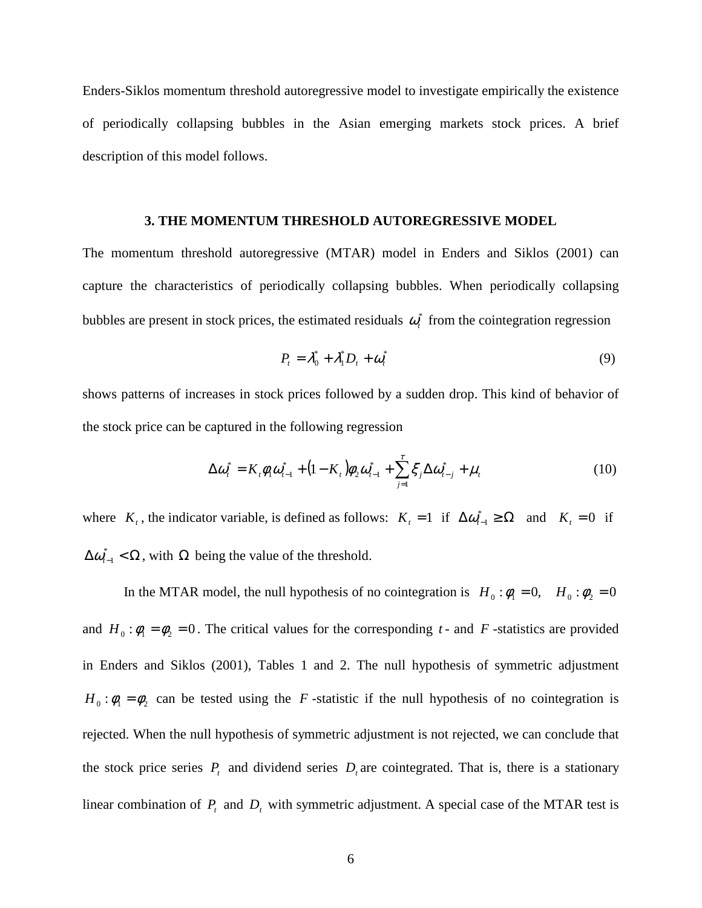Enders-Siklos momentum threshold autoregressive model to investigate empirically the existence of periodically collapsing bubbles in the Asian emerging markets stock prices. A brief description of this model follows.

#### **3. THE MOMENTUM THRESHOLD AUTOREGRESSIVE MODEL**

The momentum threshold autoregressive (MTAR) model in Enders and Siklos (2001) can capture the characteristics of periodically collapsing bubbles. When periodically collapsing bubbles are present in stock prices, the estimated residuals  $\omega_t^*$  from the cointegration regression

$$
P_t = \lambda_0^* + \lambda_1^* D_t + \omega_t^* \tag{9}
$$

shows patterns of increases in stock prices followed by a sudden drop. This kind of behavior of the stock price can be captured in the following regression

$$
\Delta \omega_t^* = K_t \phi_1 \omega_{t-1}^* + (1 - K_t) \phi_2 \omega_{t-1}^* + \sum_{j=1}^{\tau} \xi_j \Delta \omega_{t-j}^* + \mu_t
$$
\n(10)

where  $K_t$ , the indicator variable, is defined as follows:  $K_t = 1$  if  $\Delta \omega_{t-1}^* \ge \Omega$  and  $K_t = 0$  if  $\Delta \omega_{t-1}^* < \Omega$ , with  $\Omega$  being the value of the threshold.

In the MTAR model, the null hypothesis of no cointegration is  $H_0 : \phi_1 = 0$ ,  $H_0 : \phi_2 = 0$ and  $H_0 : \phi_1 = \phi_2 = 0$ . The critical values for the corresponding *t* - and *F* -statistics are provided in Enders and Siklos (2001), Tables 1 and 2. The null hypothesis of symmetric adjustment  $H_0$ : $\phi_1 = \phi_2$  can be tested using the *F*-statistic if the null hypothesis of no cointegration is rejected. When the null hypothesis of symmetric adjustment is not rejected, we can conclude that the stock price series  $P_t$  and dividend series  $D_t$  are cointegrated. That is, there is a stationary linear combination of  $P_t$  and  $D_t$  with symmetric adjustment. A special case of the MTAR test is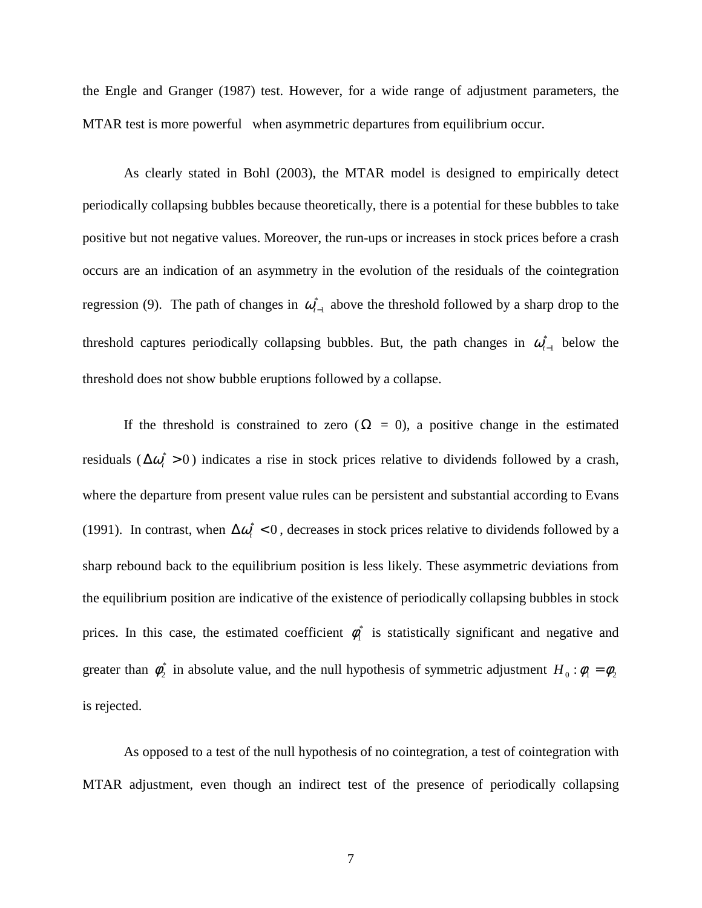the Engle and Granger (1987) test. However, for a wide range of adjustment parameters, the MTAR test is more powerful when asymmetric departures from equilibrium occur.

As clearly stated in Bohl (2003), the MTAR model is designed to empirically detect periodically collapsing bubbles because theoretically, there is a potential for these bubbles to take positive but not negative values. Moreover, the run-ups or increases in stock prices before a crash occurs are an indication of an asymmetry in the evolution of the residuals of the cointegration regression (9). The path of changes in  $\omega_{t-1}^*$  above the threshold followed by a sharp drop to the threshold captures periodically collapsing bubbles. But, the path changes in  $\omega_{t-1}^*$  below the threshold does not show bubble eruptions followed by a collapse.

If the threshold is constrained to zero ( $\Omega = 0$ ), a positive change in the estimated residuals ( $\Delta \omega_t^* > 0$ ) indicates a rise in stock prices relative to dividends followed by a crash, where the departure from present value rules can be persistent and substantial according to Evans (1991). In contrast, when  $\Delta \omega_i^*$  < 0, decreases in stock prices relative to dividends followed by a sharp rebound back to the equilibrium position is less likely. These asymmetric deviations from the equilibrium position are indicative of the existence of periodically collapsing bubbles in stock prices. In this case, the estimated coefficient  $\phi_1^*$  is statistically significant and negative and greater than  $\phi_2^*$  in absolute value, and the null hypothesis of symmetric adjustment  $H_0: \phi_1 = \phi_2$ is rejected.

As opposed to a test of the null hypothesis of no cointegration, a test of cointegration with MTAR adjustment, even though an indirect test of the presence of periodically collapsing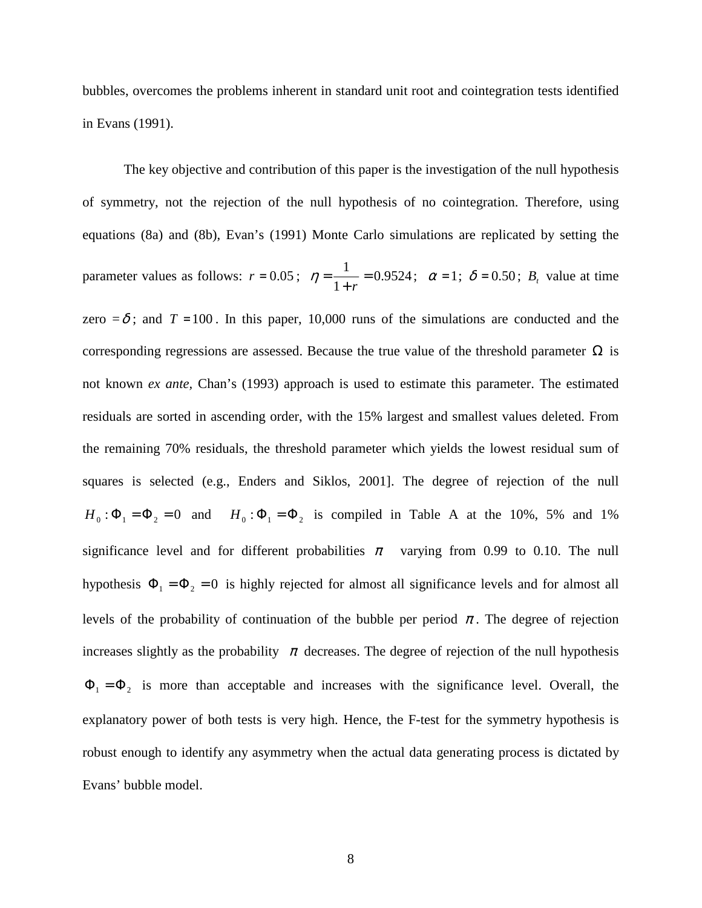bubbles, overcomes the problems inherent in standard unit root and cointegration tests identified in Evans (1991).

The key objective and contribution of this paper is the investigation of the null hypothesis of symmetry, not the rejection of the null hypothesis of no cointegration. Therefore, using equations (8a) and (8b), Evan's (1991) Monte Carlo simulations are replicated by setting the parameter values as follows:  $r = 0.05$ ;  $\eta = \frac{1}{1} = 0.9524$ 1  $\frac{1}{\phantom{1}}$  = + =  $\eta = \frac{1}{1+r} = 0.9524$ ;  $\alpha = 1$ ;  $\delta = 0.50$ ;  $B_t$  value at time zero  $=\delta$ ; and  $T = 100$ . In this paper, 10,000 runs of the simulations are conducted and the corresponding regressions are assessed. Because the true value of the threshold parameter  $\Omega$  is not known *ex ante,* Chan's (1993) approach is used to estimate this parameter. The estimated residuals are sorted in ascending order, with the 15% largest and smallest values deleted. From the remaining 70% residuals, the threshold parameter which yields the lowest residual sum of squares is selected (e.g., Enders and Siklos, 2001]. The degree of rejection of the null  $H_0: \Phi_1 = \Phi_2 = 0$  and  $H_0: \Phi_1 = \Phi_2$  is compiled in Table A at the 10%, 5% and 1% significance level and for different probabilities  $\pi$  varying from 0.99 to 0.10. The null hypothesis  $\Phi_1 = \Phi_2 = 0$  is highly rejected for almost all significance levels and for almost all levels of the probability of continuation of the bubble per period  $\pi$ . The degree of rejection increases slightly as the probability  $\pi$  decreases. The degree of rejection of the null hypothesis  $\Phi_1 = \Phi_2$  is more than acceptable and increases with the significance level. Overall, the explanatory power of both tests is very high. Hence, the F-test for the symmetry hypothesis is robust enough to identify any asymmetry when the actual data generating process is dictated by Evans' bubble model.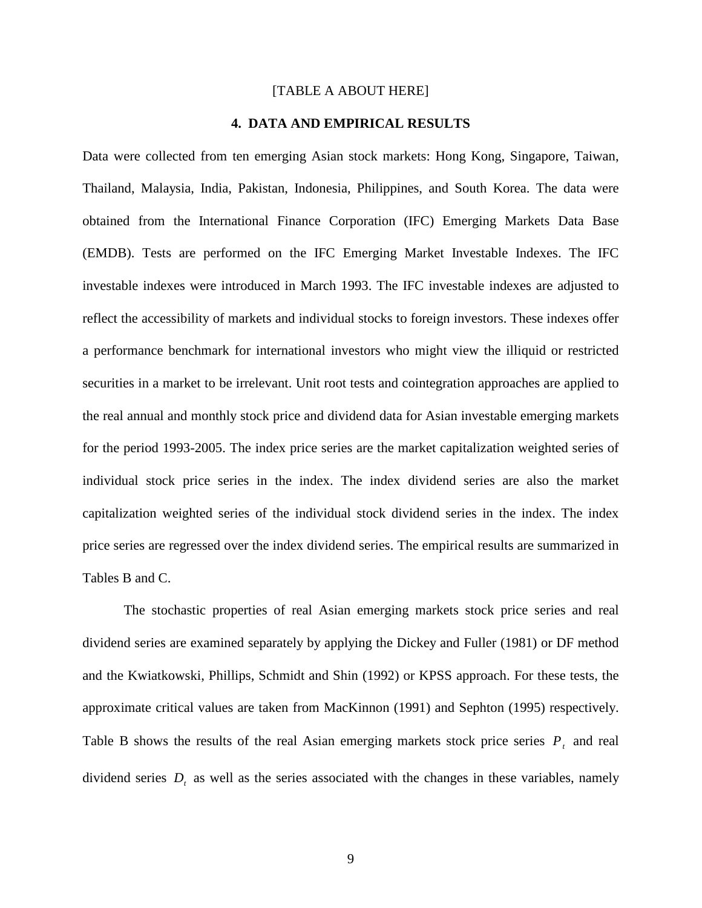#### [TABLE A ABOUT HERE]

#### **4. DATA AND EMPIRICAL RESULTS**

Data were collected from ten emerging Asian stock markets: Hong Kong, Singapore, Taiwan, Thailand, Malaysia, India, Pakistan, Indonesia, Philippines, and South Korea. The data were obtained from the International Finance Corporation (IFC) Emerging Markets Data Base (EMDB). Tests are performed on the IFC Emerging Market Investable Indexes. The IFC investable indexes were introduced in March 1993. The IFC investable indexes are adjusted to reflect the accessibility of markets and individual stocks to foreign investors. These indexes offer a performance benchmark for international investors who might view the illiquid or restricted securities in a market to be irrelevant. Unit root tests and cointegration approaches are applied to the real annual and monthly stock price and dividend data for Asian investable emerging markets for the period 1993-2005. The index price series are the market capitalization weighted series of individual stock price series in the index. The index dividend series are also the market capitalization weighted series of the individual stock dividend series in the index. The index price series are regressed over the index dividend series. The empirical results are summarized in Tables B and C.

The stochastic properties of real Asian emerging markets stock price series and real dividend series are examined separately by applying the Dickey and Fuller (1981) or DF method and the Kwiatkowski, Phillips, Schmidt and Shin (1992) or KPSS approach. For these tests, the approximate critical values are taken from MacKinnon (1991) and Sephton (1995) respectively. Table B shows the results of the real Asian emerging markets stock price series  $P_t$  and real dividend series  $D<sub>t</sub>$  as well as the series associated with the changes in these variables, namely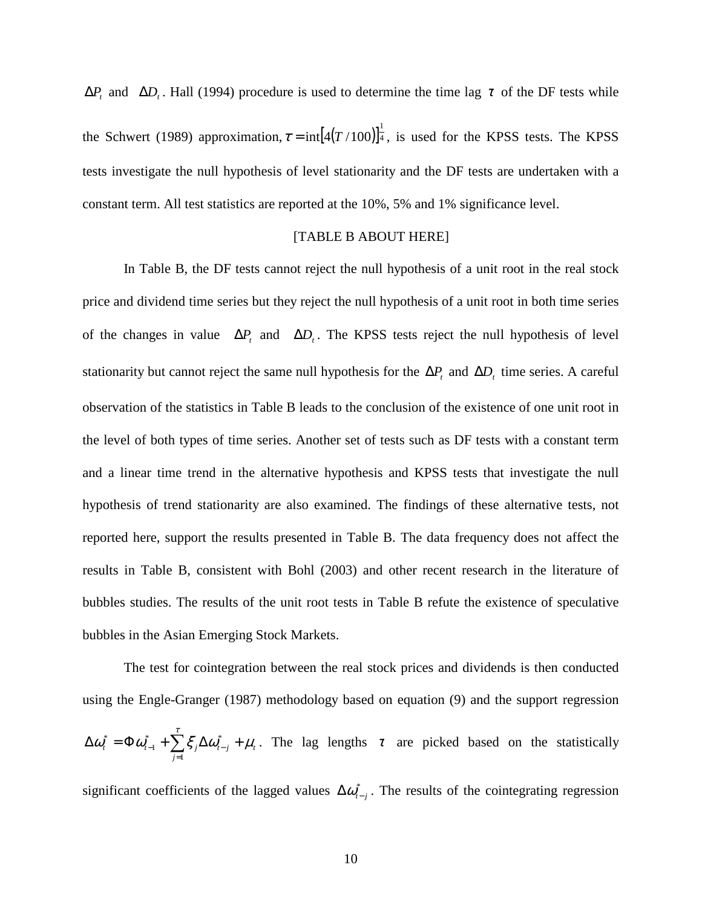$\Delta P_t$  and  $\Delta D_t$ . Hall (1994) procedure is used to determine the time lag  $\tau$  of the DF tests while the Schwert (1989) approximation,  $\tau = \text{int} [4(T/100)]^{\frac{1}{4}}$ , is used for the KPSS tests. The KPSS tests investigate the null hypothesis of level stationarity and the DF tests are undertaken with a constant term. All test statistics are reported at the 10%, 5% and 1% significance level.

#### [TABLE B ABOUT HERE]

In Table B, the DF tests cannot reject the null hypothesis of a unit root in the real stock price and dividend time series but they reject the null hypothesis of a unit root in both time series of the changes in value  $\Delta P_t$  and  $\Delta D_t$ . The KPSS tests reject the null hypothesis of level stationarity but cannot reject the same null hypothesis for the  $\Delta P$ <sup>*t*</sup> and  $\Delta D$ <sup>*t*</sup> time series. A careful observation of the statistics in Table B leads to the conclusion of the existence of one unit root in the level of both types of time series. Another set of tests such as DF tests with a constant term and a linear time trend in the alternative hypothesis and KPSS tests that investigate the null hypothesis of trend stationarity are also examined. The findings of these alternative tests, not reported here, support the results presented in Table B. The data frequency does not affect the results in Table B, consistent with Bohl (2003) and other recent research in the literature of bubbles studies. The results of the unit root tests in Table B refute the existence of speculative bubbles in the Asian Emerging Stock Markets.

The test for cointegration between the real stock prices and dividends is then conducted using the Engle-Granger (1987) methodology based on equation (9) and the support regression  $(t-j \mid \mu_t)$ *j*  $\Delta \boldsymbol{\omega}_t^* = \boldsymbol{\Phi} \boldsymbol{\omega}_{t-1}^* + \sum_{i}^{\tau} \boldsymbol{\xi}_j \Delta \boldsymbol{\omega}_{t-j}^* + \boldsymbol{\mu}_t$ =  $\sum_{-1}^{\epsilon}+\sum\limits_{}^{\epsilon}\!\mathcal{\zeta}_{j}\Delta\boldsymbol{\mathit{\omega}}_{t-1}^{*}$ 1 \* 1  $\tau_t^* = \Phi \omega_{t-1}^* + \sum \xi_i \Delta \omega_{t-i}^* + \mu_t$ . The lag lengths  $\tau$  are picked based on the statistically significant coefficients of the lagged values  $\Delta \omega_{t-j}^*$ . The results of the cointegrating regression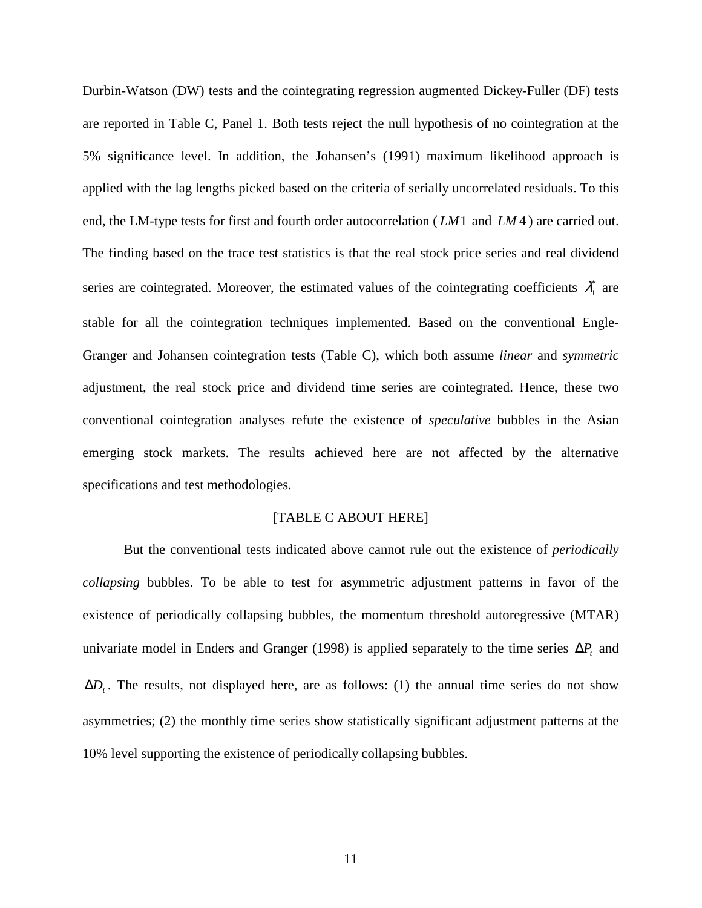Durbin-Watson (DW) tests and the cointegrating regression augmented Dickey-Fuller (DF) tests are reported in Table C, Panel 1. Both tests reject the null hypothesis of no cointegration at the 5% significance level. In addition, the Johansen's (1991) maximum likelihood approach is applied with the lag lengths picked based on the criteria of serially uncorrelated residuals. To this end, the LM-type tests for first and fourth order autocorrelation ( *LM*1 and *LM* 4 ) are carried out. The finding based on the trace test statistics is that the real stock price series and real dividend series are cointegrated. Moreover, the estimated values of the cointegrating coefficients  $\lambda_1^*$  are stable for all the cointegration techniques implemented. Based on the conventional Engle-Granger and Johansen cointegration tests (Table C), which both assume *linear* and *symmetric* adjustment, the real stock price and dividend time series are cointegrated. Hence, these two conventional cointegration analyses refute the existence of *speculative* bubbles in the Asian emerging stock markets. The results achieved here are not affected by the alternative specifications and test methodologies.

#### [TABLE C ABOUT HERE]

But the conventional tests indicated above cannot rule out the existence of *periodically collapsing* bubbles. To be able to test for asymmetric adjustment patterns in favor of the existence of periodically collapsing bubbles, the momentum threshold autoregressive (MTAR) univariate model in Enders and Granger (1998) is applied separately to the time series  $\Delta P_t$  and ∆*D<sup>t</sup>* . The results, not displayed here, are as follows: (1) the annual time series do not show asymmetries; (2) the monthly time series show statistically significant adjustment patterns at the 10% level supporting the existence of periodically collapsing bubbles.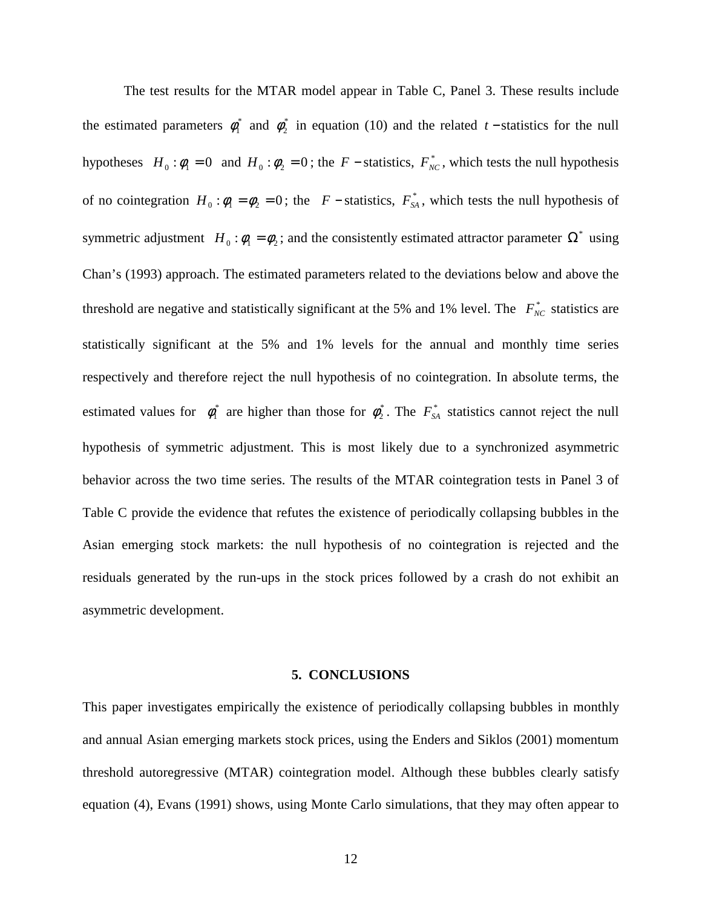The test results for the MTAR model appear in Table C, Panel 3. These results include the estimated parameters  $\phi_1^*$  and  $\phi_2^*$  in equation (10) and the related *t* − statistics for the null hypotheses  $H_0 : \phi_1 = 0$  and  $H_0 : \phi_2 = 0$ ; the *F* − statistics,  $F_{NC}^*$ , which tests the null hypothesis of no cointegration  $H_0 : \phi_1 = \phi_2 = 0$ ; the *F* − statistics,  $F_{SA}^*$ , which tests the null hypothesis of symmetric adjustment  $H_0 : \phi_1 = \phi_2$ ; and the consistently estimated attractor parameter  $\Omega^*$  using Chan's (1993) approach. The estimated parameters related to the deviations below and above the threshold are negative and statistically significant at the 5% and 1% level. The  $F_{NC}^*$  statistics are statistically significant at the 5% and 1% levels for the annual and monthly time series respectively and therefore reject the null hypothesis of no cointegration. In absolute terms, the estimated values for  $\phi_1^*$  are higher than those for  $\phi_2^*$ . The  $F_{SA}^*$  statistics cannot reject the null hypothesis of symmetric adjustment. This is most likely due to a synchronized asymmetric behavior across the two time series. The results of the MTAR cointegration tests in Panel 3 of Table C provide the evidence that refutes the existence of periodically collapsing bubbles in the Asian emerging stock markets: the null hypothesis of no cointegration is rejected and the residuals generated by the run-ups in the stock prices followed by a crash do not exhibit an asymmetric development.

#### **5. CONCLUSIONS**

This paper investigates empirically the existence of periodically collapsing bubbles in monthly and annual Asian emerging markets stock prices, using the Enders and Siklos (2001) momentum threshold autoregressive (MTAR) cointegration model. Although these bubbles clearly satisfy equation (4), Evans (1991) shows, using Monte Carlo simulations, that they may often appear to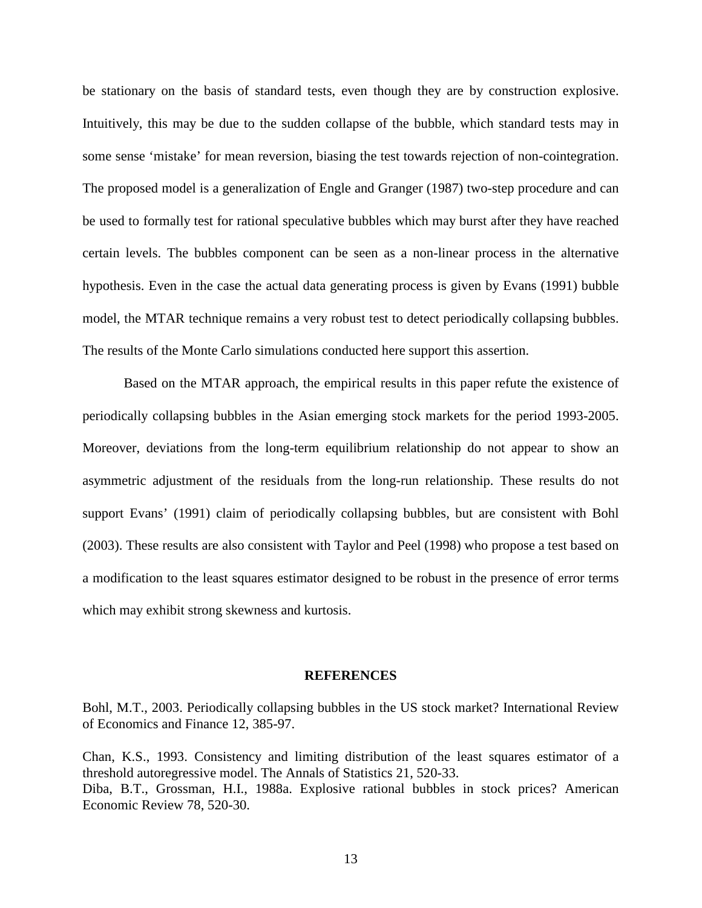be stationary on the basis of standard tests, even though they are by construction explosive. Intuitively, this may be due to the sudden collapse of the bubble, which standard tests may in some sense 'mistake' for mean reversion, biasing the test towards rejection of non-cointegration. The proposed model is a generalization of Engle and Granger (1987) two-step procedure and can be used to formally test for rational speculative bubbles which may burst after they have reached certain levels. The bubbles component can be seen as a non-linear process in the alternative hypothesis. Even in the case the actual data generating process is given by Evans (1991) bubble model, the MTAR technique remains a very robust test to detect periodically collapsing bubbles. The results of the Monte Carlo simulations conducted here support this assertion.

Based on the MTAR approach, the empirical results in this paper refute the existence of periodically collapsing bubbles in the Asian emerging stock markets for the period 1993-2005. Moreover, deviations from the long-term equilibrium relationship do not appear to show an asymmetric adjustment of the residuals from the long-run relationship. These results do not support Evans' (1991) claim of periodically collapsing bubbles, but are consistent with Bohl (2003). These results are also consistent with Taylor and Peel (1998) who propose a test based on a modification to the least squares estimator designed to be robust in the presence of error terms which may exhibit strong skewness and kurtosis.

#### **REFERENCES**

Bohl, M.T., 2003. Periodically collapsing bubbles in the US stock market? International Review of Economics and Finance 12, 385-97.

Chan, K.S., 1993. Consistency and limiting distribution of the least squares estimator of a threshold autoregressive model. The Annals of Statistics 21, 520-33. Diba, B.T., Grossman, H.I., 1988a. Explosive rational bubbles in stock prices? American Economic Review 78, 520-30.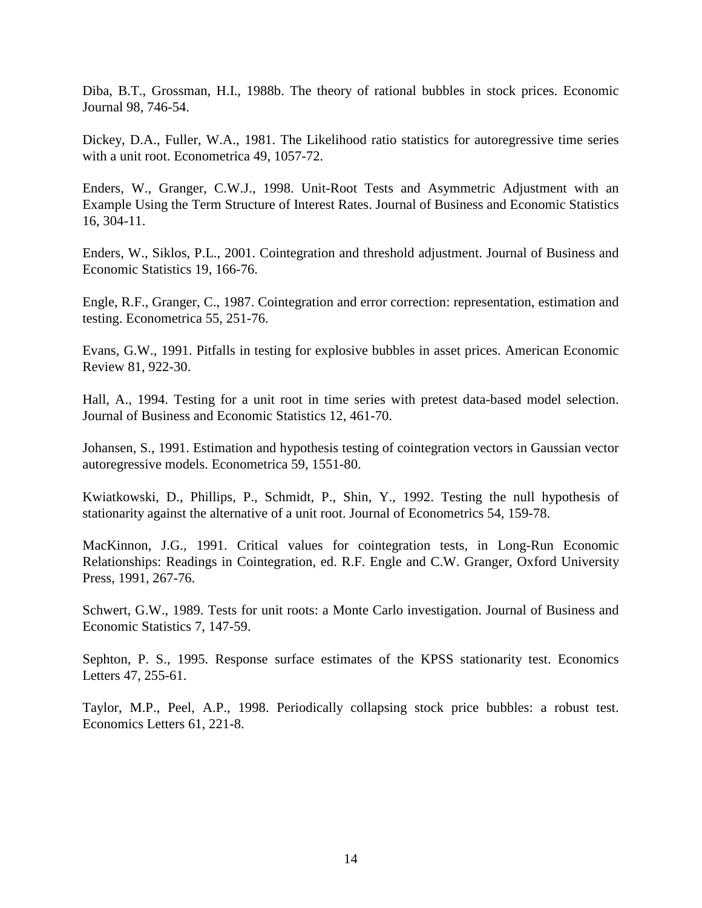Diba, B.T., Grossman, H.I., 1988b. The theory of rational bubbles in stock prices. Economic Journal 98, 746-54.

Dickey, D.A., Fuller, W.A., 1981. The Likelihood ratio statistics for autoregressive time series with a unit root. Econometrica 49, 1057-72.

Enders, W., Granger, C.W.J., 1998. Unit-Root Tests and Asymmetric Adjustment with an Example Using the Term Structure of Interest Rates. Journal of Business and Economic Statistics 16, 304-11.

Enders, W., Siklos, P.L., 2001. Cointegration and threshold adjustment. Journal of Business and Economic Statistics 19, 166-76.

Engle, R.F., Granger, C., 1987. Cointegration and error correction: representation, estimation and testing. Econometrica 55, 251-76.

Evans, G.W., 1991. Pitfalls in testing for explosive bubbles in asset prices. American Economic Review 81, 922-30.

Hall, A., 1994. Testing for a unit root in time series with pretest data-based model selection. Journal of Business and Economic Statistics 12, 461-70.

Johansen, S., 1991. Estimation and hypothesis testing of cointegration vectors in Gaussian vector autoregressive models. Econometrica 59, 1551-80.

Kwiatkowski, D., Phillips, P., Schmidt, P., Shin, Y., 1992. Testing the null hypothesis of stationarity against the alternative of a unit root. Journal of Econometrics 54, 159-78.

MacKinnon, J.G., 1991. Critical values for cointegration tests, in Long-Run Economic Relationships: Readings in Cointegration, ed. R.F. Engle and C.W. Granger, Oxford University Press, 1991, 267-76.

Schwert, G.W., 1989. Tests for unit roots: a Monte Carlo investigation. Journal of Business and Economic Statistics 7, 147-59.

Sephton, P. S., 1995. Response surface estimates of the KPSS stationarity test. Economics Letters 47, 255-61.

Taylor, M.P., Peel, A.P., 1998. Periodically collapsing stock price bubbles: a robust test. Economics Letters 61, 221-8.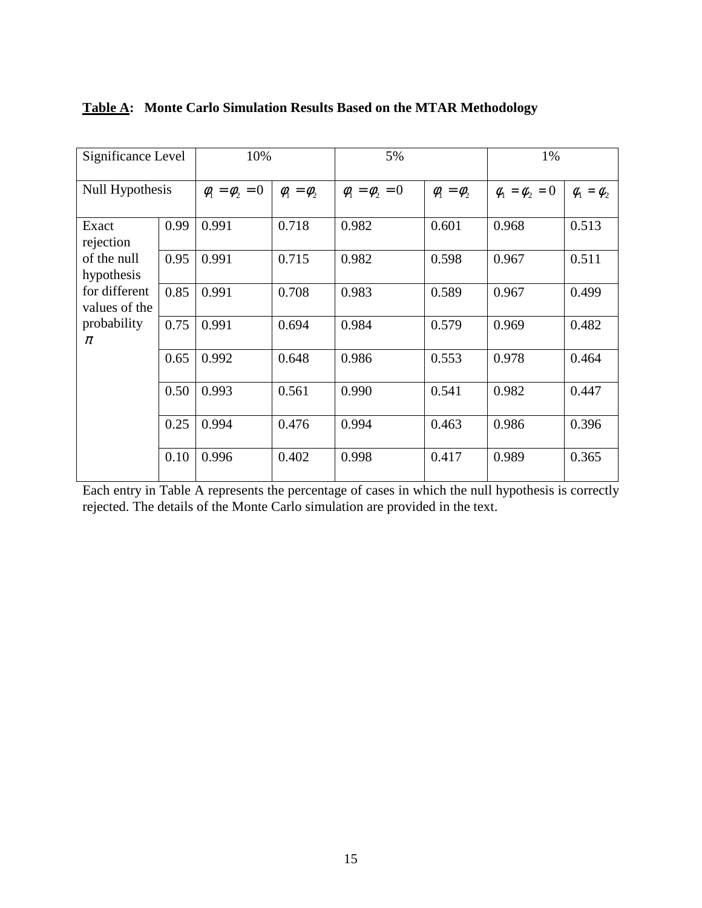| Significance Level             |      | 10%                   |                   | 5%                    |                   | 1%                    |                   |
|--------------------------------|------|-----------------------|-------------------|-----------------------|-------------------|-----------------------|-------------------|
| Null Hypothesis                |      | $\phi_1 = \phi_2 = 0$ | $\phi_1 = \phi_2$ | $\phi_1 = \phi_2 = 0$ | $\phi_1 = \phi_2$ | $\phi_1 = \phi_2 = 0$ | $\phi_1 = \phi_2$ |
| Exact<br>rejection             | 0.99 | 0.991                 | 0.718             | 0.982                 | 0.601             | 0.968                 | 0.513             |
| of the null<br>hypothesis      | 0.95 | 0.991                 | 0.715             | 0.982                 | 0.598             | 0.967                 | 0.511             |
| for different<br>values of the | 0.85 | 0.991                 | 0.708             | 0.983                 | 0.589             | 0.967                 | 0.499             |
| probability<br>$\pi$           | 0.75 | 0.991                 | 0.694             | 0.984                 | 0.579             | 0.969                 | 0.482             |
|                                | 0.65 | 0.992                 | 0.648             | 0.986                 | 0.553             | 0.978                 | 0.464             |
|                                | 0.50 | 0.993                 | 0.561             | 0.990                 | 0.541             | 0.982                 | 0.447             |
|                                | 0.25 | 0.994                 | 0.476             | 0.994                 | 0.463             | 0.986                 | 0.396             |
|                                | 0.10 | 0.996                 | 0.402             | 0.998                 | 0.417             | 0.989                 | 0.365             |

## **Table A: Monte Carlo Simulation Results Based on the MTAR Methodology**

Each entry in Table A represents the percentage of cases in which the null hypothesis is correctly rejected. The details of the Monte Carlo simulation are provided in the text.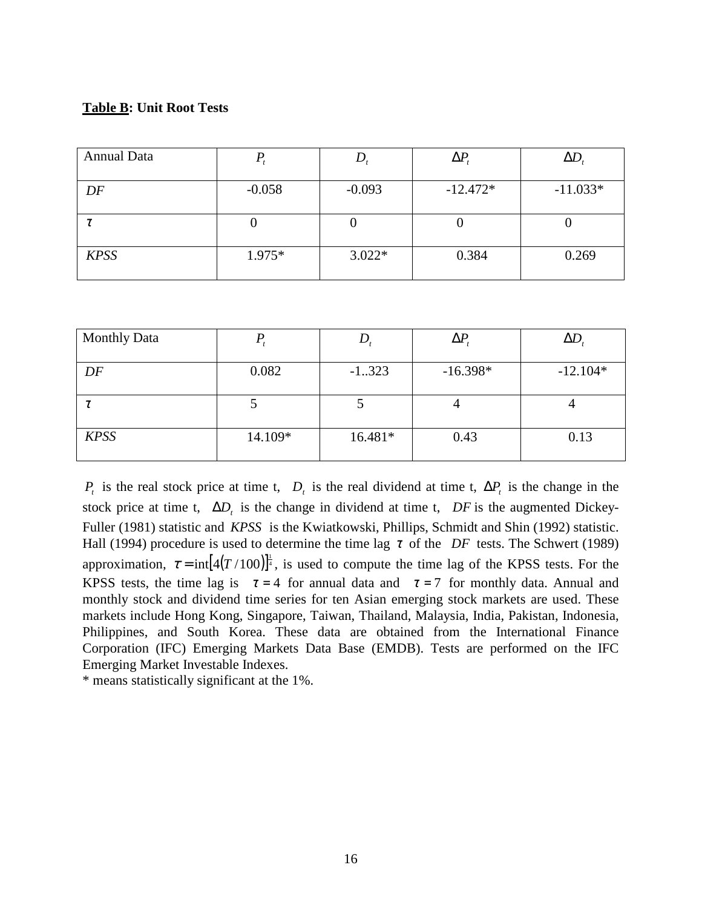### **Table B: Unit Root Tests**

| <b>Annual Data</b> |          |          | $\Delta P$ | $\Delta D$ |
|--------------------|----------|----------|------------|------------|
| DF                 | $-0.058$ | $-0.093$ | $-12.472*$ | $-11.033*$ |
|                    |          |          |            |            |
| <b>KPSS</b>        | $1.975*$ | $3.022*$ | 0.384      | 0.269      |

| <b>Monthly Data</b> |         |          | $\Delta P$ | $\Delta D$ |
|---------------------|---------|----------|------------|------------|
| DF                  | 0.082   | $-1.323$ | $-16.398*$ | $-12.104*$ |
|                     |         |          |            |            |
| <b>KPSS</b>         | 14.109* | 16.481*  | 0.43       | 0.13       |

*P<sub>t</sub>* is the real stock price at time t, *D<sub>t</sub>* is the real dividend at time t,  $\Delta P$ <sub>*t*</sub> is the change in the stock price at time t,  $\Delta D_t$  is the change in dividend at time t,  $DF$  is the augmented Dickey-Fuller (1981) statistic and *KPSS* is the Kwiatkowski, Phillips, Schmidt and Shin (1992) statistic. Hall (1994) procedure is used to determine the time lag  $\tau$  of the *DF* tests. The Schwert (1989) approximation,  $\tau = \text{int} [4(T/100)]^{\frac{1}{4}}$ , is used to compute the time lag of the KPSS tests. For the KPSS tests, the time lag is  $\tau = 4$  for annual data and  $\tau = 7$  for monthly data. Annual and monthly stock and dividend time series for ten Asian emerging stock markets are used. These markets include Hong Kong, Singapore, Taiwan, Thailand, Malaysia, India, Pakistan, Indonesia, Philippines, and South Korea. These data are obtained from the International Finance Corporation (IFC) Emerging Markets Data Base (EMDB). Tests are performed on the IFC Emerging Market Investable Indexes.

\* means statistically significant at the 1%.